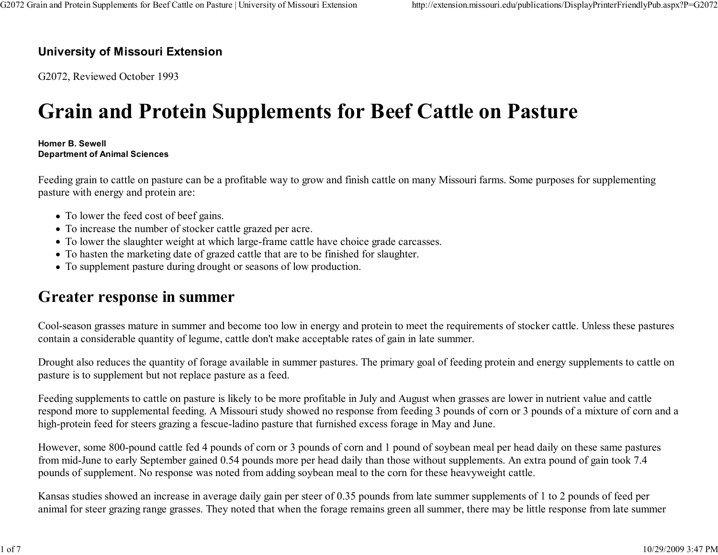#### University of Missouri Extension

G2072, Reviewed October 1993

# Grain and Protein Supplements for Beef Cattle on Pasture

#### Homer B. SewellDepartment of Animal Sciences

Feeding grain to cattle on pasture can be a profitable way to grow and finish cattle on many Missouri farms. Some purposes for supplementingpasture with energy and protein are:

- To lower the feed cost of beef gains.
- To increase the number of stocker cattle grazed per acre.
- To lower the slaughter weight at which large-frame cattle have choice grade carcasses.
- To hasten the marketing date of grazed cattle that are to be finished for slaughter.
- To supplement pasture during drought or seasons of low production.

#### Greater response in summer

Cool-season grasses mature in summer and become too low in energy and protein to meet the requirements of stocker cattle. Unless these pasturescontain a considerable quantity of legume, cattle don't make acceptable rates of gain in late summer.

Drought also reduces the quantity of forage available in summer pastures. The primary goal of feeding protein and energy supplements to cattle onpasture is to supplement but not replace pasture as a feed.

Feeding supplements to cattle on pasture is likely to be more profitable in July and August when grasses are lower in nutrient value and cattle respond more to supplemental feeding. A Missouri study showed no response from feeding 3 pounds of corn or 3 pounds of a mixture of corn and ahigh-protein feed for steers grazing a fescue-ladino pasture that furnished excess forage in May and June.

However, some 800-pound cattle fed 4 pounds of corn or 3 pounds of corn and 1 pound of soybean meal per head daily on these same pasturesfrom mid-June to early September gained 0.54 pounds more per head daily than those without supplements. An extra pound of gain took 7.4pounds of supplement. No response was noted from adding soybean meal to the corn for these heavyweight cattle.

Kansas studies showed an increase in average daily gain per steer of 0.35 pounds from late summer supplements of 1 to 2 pounds of feed peranimal for steer grazing range grasses. They noted that when the forage remains green all summer, there may be little response from late summer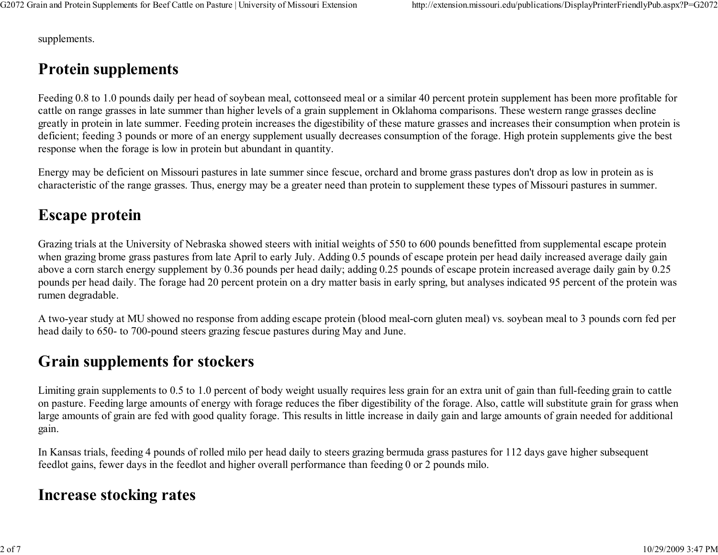supplements.

# Protein supplements

Feeding 0.8 to 1.0 pounds daily per head of soybean meal, cottonseed meal or a similar 40 percent protein supplement has been more profitable forcattle on range grasses in late summer than higher levels of a grain supplement in Oklahoma comparisons. These western range grasses decline greatly in protein in late summer. Feeding protein increases the digestibility of these mature grasses and increases their consumption when protein isdeficient; feeding 3 pounds or more of an energy supplement usually decreases consumption of the forage. High protein supplements give the bestresponse when the forage is low in protein but abundant in quantity.

Energy may be deficient on Missouri pastures in late summer since fescue, orchard and brome grass pastures don't drop as low in protein as ischaracteristic of the range grasses. Thus, energy may be a greater need than protein to supplement these types of Missouri pastures in summer.

#### Escape protein

Grazing trials at the University of Nebraska showed steers with initial weights of 550 to 600 pounds benefitted from supplemental escape protein when grazing brome grass pastures from late April to early July. Adding 0.5 pounds of escape protein per head daily increased average daily gain above a corn starch energy supplement by 0.36 pounds per head daily; adding 0.25 pounds of escape protein increased average daily gain by 0.25 pounds per head daily. The forage had 20 percent protein on a dry matter basis in early spring, but analyses indicated 95 percent of the protein wasrumen degradable.

A two-year study at MU showed no response from adding escape protein (blood meal-corn gluten meal) vs. soybean meal to 3 pounds corn fed perhead daily to 650- to 700-pound steers grazing fescue pastures during May and June.

#### Grain supplements for stockers

Limiting grain supplements to 0.5 to 1.0 percent of body weight usually requires less grain for an extra unit of gain than full-feeding grain to cattle on pasture. Feeding large amounts of energy with forage reduces the fiber digestibility of the forage. Also, cattle will substitute grain for grass when large amounts of grain are fed with good quality forage. This results in little increase in daily gain and large amounts of grain needed for additionalgain.

In Kansas trials, feeding 4 pounds of rolled milo per head daily to steers grazing bermuda grass pastures for 112 days gave higher subsequentfeedlot gains, fewer days in the feedlot and higher overall performance than feeding 0 or 2 pounds milo.

#### Increase stocking rates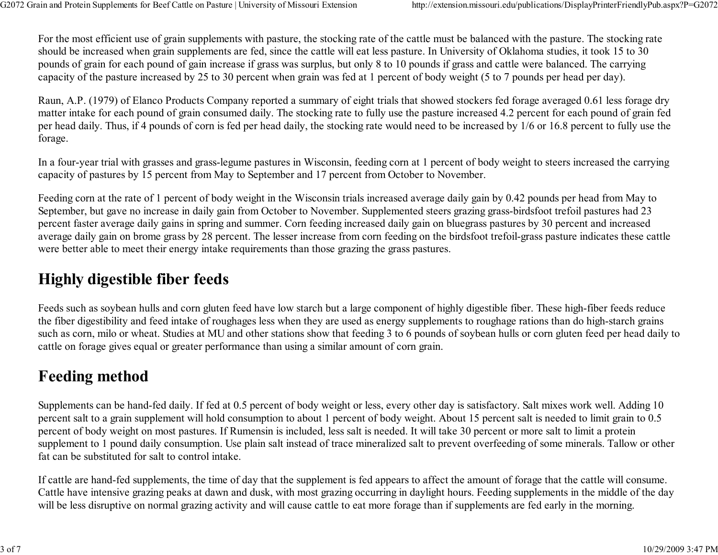For the most efficient use of grain supplements with pasture, the stocking rate of the cattle must be balanced with the pasture. The stocking rateshould be increased when grain supplements are fed, since the cattle will eat less pasture. In University of Oklahoma studies, it took 15 to 30 pounds of grain for each pound of gain increase if grass was surplus, but only 8 to 10 pounds if grass and cattle were balanced. The carryingcapacity of the pasture increased by 25 to 30 percent when grain was fed at 1 percent of body weight (5 to 7 pounds per head per day).

Raun, A.P. (1979) of Elanco Products Company reported a summary of eight trials that showed stockers fed forage averaged 0.61 less forage dry matter intake for each pound of grain consumed daily. The stocking rate to fully use the pasture increased 4.2 percent for each pound of grain fed per head daily. Thus, if 4 pounds of corn is fed per head daily, the stocking rate would need to be increased by 1/6 or 16.8 percent to fully use theforage.

In a four-year trial with grasses and grass-legume pastures in Wisconsin, feeding corn at 1 percent of body weight to steers increased the carryingcapacity of pastures by 15 percent from May to September and 17 percent from October to November.

Feeding corn at the rate of 1 percent of body weight in the Wisconsin trials increased average daily gain by 0.42 pounds per head from May to September, but gave no increase in daily gain from October to November. Supplemented steers grazing grass-birdsfoot trefoil pastures had 23 percent faster average daily gains in spring and summer. Corn feeding increased daily gain on bluegrass pastures by 30 percent and increased average daily gain on brome grass by 28 percent. The lesser increase from corn feeding on the birdsfoot trefoil-grass pasture indicates these cattlewere better able to meet their energy intake requirements than those grazing the grass pastures.

### Highly digestible fiber feeds

Feeds such as soybean hulls and corn gluten feed have low starch but a large component of highly digestible fiber. These high-fiber feeds reduce the fiber digestibility and feed intake of roughages less when they are used as energy supplements to roughage rations than do high-starch grains such as corn, milo or wheat. Studies at MU and other stations show that feeding 3 to 6 pounds of soybean hulls or corn gluten feed per head daily tocattle on forage gives equal or greater performance than using a similar amount of corn grain.

### Feeding method

Supplements can be hand-fed daily. If fed at 0.5 percent of body weight or less, every other day is satisfactory. Salt mixes work well. Adding 10 percent salt to a grain supplement will hold consumption to about 1 percent of body weight. About 15 percent salt is needed to limit grain to 0.5percent of body weight on most pastures. If Rumensin is included, less salt is needed. It will take 30 percent or more salt to limit a protein supplement to 1 pound daily consumption. Use plain salt instead of trace mineralized salt to prevent overfeeding of some minerals. Tallow or otherfat can be substituted for salt to control intake.

If cattle are hand-fed supplements, the time of day that the supplement is fed appears to affect the amount of forage that the cattle will consume. Cattle have intensive grazing peaks at dawn and dusk, with most grazing occurring in daylight hours. Feeding supplements in the middle of the daywill be less disruptive on normal grazing activity and will cause cattle to eat more forage than if supplements are fed early in the morning.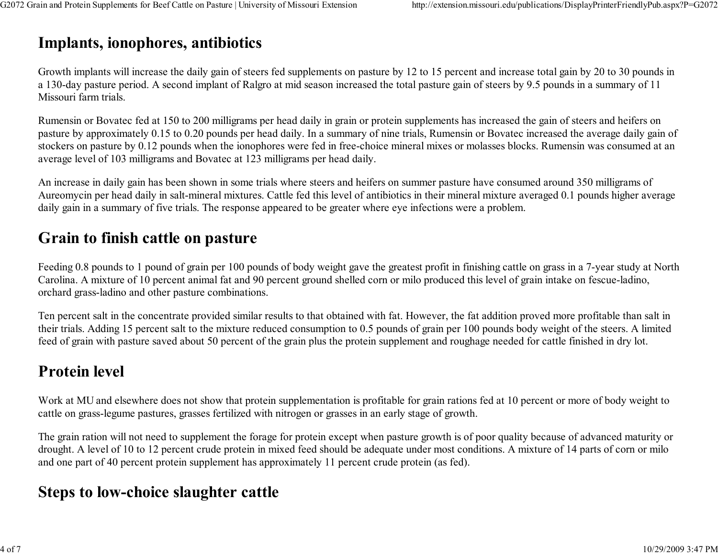# Implants, ionophores, antibiotics

Growth implants will increase the daily gain of steers fed supplements on pasture by 12 to 15 percent and increase total gain by 20 to 30 pounds ina 130-day pasture period. A second implant of Ralgro at mid season increased the total pasture gain of steers by 9.5 pounds in a summary of 11Missouri farm trials.

Rumensin or Bovatec fed at 150 to 200 milligrams per head daily in grain or protein supplements has increased the gain of steers and heifers on pasture by approximately 0.15 to 0.20 pounds per head daily. In a summary of nine trials, Rumensin or Bovatec increased the average daily gain of stockers on pasture by 0.12 pounds when the ionophores were fed in free-choice mineral mixes or molasses blocks. Rumensin was consumed at anaverage level of 103 milligrams and Bovatec at 123 milligrams per head daily.

An increase in daily gain has been shown in some trials where steers and heifers on summer pasture have consumed around 350 milligrams of Aureomycin per head daily in salt-mineral mixtures. Cattle fed this level of antibiotics in their mineral mixture averaged 0.1 pounds higher averagedaily gain in a summary of five trials. The response appeared to be greater where eye infections were a problem.

#### Grain to finish cattle on pasture

Feeding 0.8 pounds to 1 pound of grain per 100 pounds of body weight gave the greatest profit in finishing cattle on grass in a 7-year study at NorthCarolina. A mixture of 10 percent animal fat and 90 percent ground shelled corn or milo produced this level of grain intake on fescue-ladino,orchard grass-ladino and other pasture combinations.

Ten percent salt in the concentrate provided similar results to that obtained with fat. However, the fat addition proved more profitable than salt in their trials. Adding 15 percent salt to the mixture reduced consumption to 0.5 pounds of grain per 100 pounds body weight of the steers. A limitedfeed of grain with pasture saved about 50 percent of the grain plus the protein supplement and roughage needed for cattle finished in dry lot.

### Protein level

Work at MU and elsewhere does not show that protein supplementation is profitable for grain rations fed at 10 percent or more of body weight tocattle on grass-legume pastures, grasses fertilized with nitrogen or grasses in an early stage of growth.

The grain ration will not need to supplement the forage for protein except when pasture growth is of poor quality because of advanced maturity or drought. A level of 10 to 12 percent crude protein in mixed feed should be adequate under most conditions. A mixture of 14 parts of corn or miloand one part of 40 percent protein supplement has approximately 11 percent crude protein (as fed).

#### Steps to low-choice slaughter cattle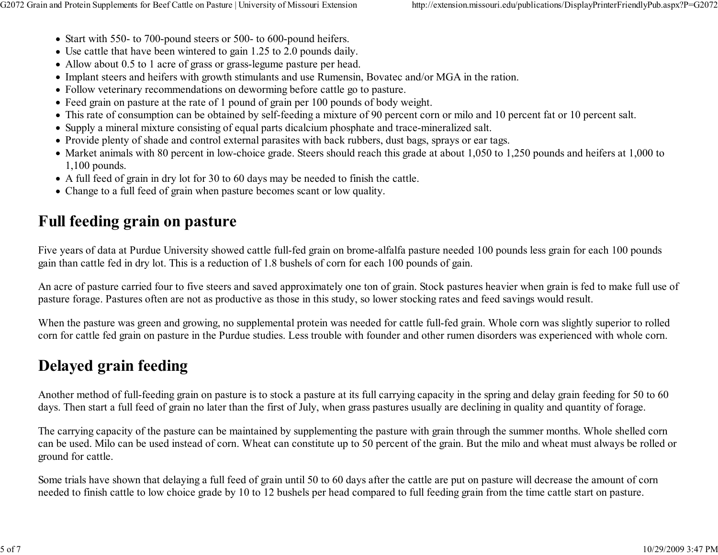- Start with 550- to 700-pound steers or 500- to 600-pound heifers.
- Use cattle that have been wintered to gain 1.25 to 2.0 pounds daily.
- Allow about 0.5 to 1 acre of grass or grass-legume pasture per head.
- Implant steers and heifers with growth stimulants and use Rumensin, Bovatec and/or MGA in the ration.
- Follow veterinary recommendations on deworming before cattle go to pasture.
- Feed grain on pasture at the rate of 1 pound of grain per 100 pounds of body weight.
- This rate of consumption can be obtained by self-feeding a mixture of 90 percent corn or milo and 10 percent fat or 10 percent salt.
- Supply a mineral mixture consisting of equal parts dicalcium phosphate and trace-mineralized salt.
- Provide plenty of shade and control external parasites with back rubbers, dust bags, sprays or ear tags.
- Market animals with 80 percent in low-choice grade. Steers should reach this grade at about 1,050 to 1,250 pounds and heifers at 1,000 to1,100 pounds.
- A full feed of grain in dry lot for 30 to 60 days may be needed to finish the cattle.
- Change to a full feed of grain when pasture becomes scant or low quality.

# Full feeding grain on pasture

Five years of data at Purdue University showed cattle full-fed grain on brome-alfalfa pasture needed 100 pounds less grain for each 100 poundsgain than cattle fed in dry lot. This is a reduction of 1.8 bushels of corn for each 100 pounds of gain.

An acre of pasture carried four to five steers and saved approximately one ton of grain. Stock pastures heavier when grain is fed to make full use ofpasture forage. Pastures often are not as productive as those in this study, so lower stocking rates and feed savings would result.

When the pasture was green and growing, no supplemental protein was needed for cattle full-fed grain. Whole corn was slightly superior to rolledcorn for cattle fed grain on pasture in the Purdue studies. Less trouble with founder and other rumen disorders was experienced with whole corn.

# Delayed grain feeding

Another method of full-feeding grain on pasture is to stock a pasture at its full carrying capacity in the spring and delay grain feeding for 50 to 60days. Then start a full feed of grain no later than the first of July, when grass pastures usually are declining in quality and quantity of forage.

The carrying capacity of the pasture can be maintained by supplementing the pasture with grain through the summer months. Whole shelled corn can be used. Milo can be used instead of corn. Wheat can constitute up to 50 percent of the grain. But the milo and wheat must always be rolled orground for cattle.

Some trials have shown that delaying a full feed of grain until 50 to 60 days after the cattle are put on pasture will decrease the amount of cornneeded to finish cattle to low choice grade by 10 to 12 bushels per head compared to full feeding grain from the time cattle start on pasture.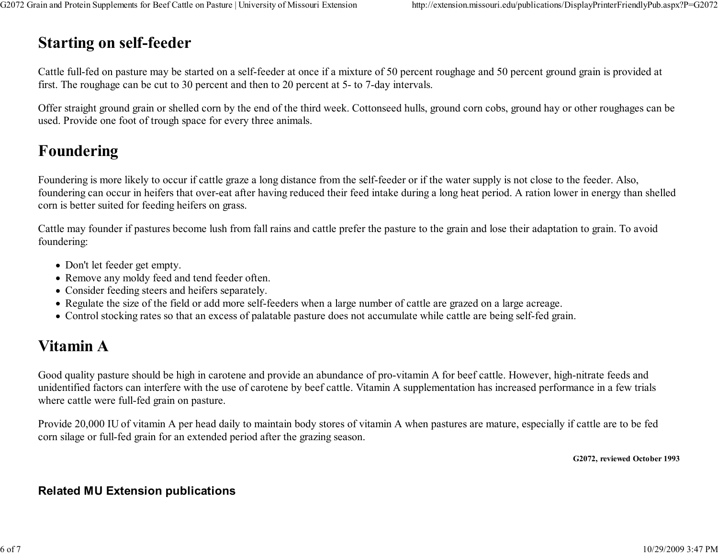# Starting on self-feeder

Cattle full-fed on pasture may be started on a self-feeder at once if a mixture of 50 percent roughage and 50 percent ground grain is provided atfirst. The roughage can be cut to 30 percent and then to 20 percent at 5- to 7-day intervals.

Offer straight ground grain or shelled corn by the end of the third week. Cottonseed hulls, ground corn cobs, ground hay or other roughages can beused. Provide one foot of trough space for every three animals.

## Foundering

Foundering is more likely to occur if cattle graze a long distance from the self-feeder or if the water supply is not close to the feeder. Also, foundering can occur in heifers that over-eat after having reduced their feed intake during a long heat period. A ration lower in energy than shelledcorn is better suited for feeding heifers on grass.

Cattle may founder if pastures become lush from fall rains and cattle prefer the pasture to the grain and lose their adaptation to grain. To avoidfoundering:

- Don't let feeder get empty.
- Remove any moldy feed and tend feeder often.
- Consider feeding steers and heifers separately.
- Regulate the size of the field or add more self-feeders when a large number of cattle are grazed on a large acreage.
- Control stocking rates so that an excess of palatable pasture does not accumulate while cattle are being self-fed grain.

# Vitamin A

Good quality pasture should be high in carotene and provide an abundance of pro-vitamin A for beef cattle. However, high-nitrate feeds and unidentified factors can interfere with the use of carotene by beef cattle. Vitamin A supplementation has increased performance in a few trialswhere cattle were full-fed grain on pasture.

Provide 20,000 IU of vitamin A per head daily to maintain body stores of vitamin A when pastures are mature, especially if cattle are to be fedcorn silage or full-fed grain for an extended period after the grazing season.

G2072, reviewed October 1993

#### Related MU Extension publications